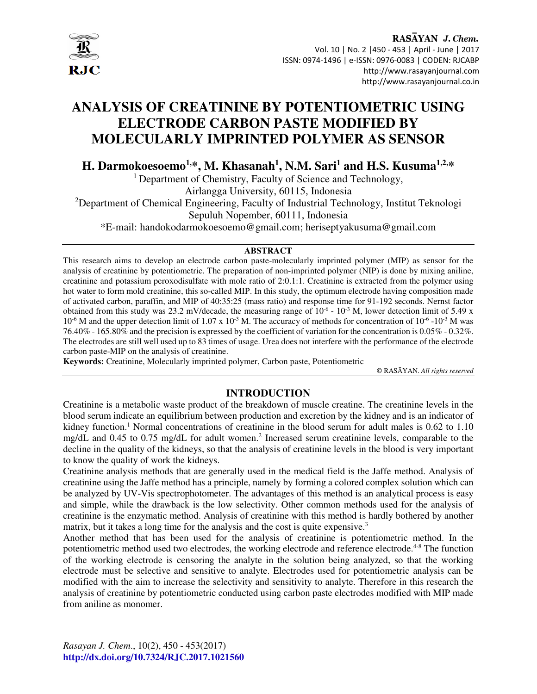

# **ANALYSIS OF CREATININE BY POTENTIOMETRIC USING ELECTRODE CARBON PASTE MODIFIED BY MOLECULARLY IMPRINTED POLYMER AS SENSOR**

**H. Darmokoesoemo1,\*, M. Khasanah<sup>1</sup> , N.M. Sari<sup>1</sup> and H.S. Kusuma1,2,\***

<sup>1</sup> Department of Chemistry, Faculty of Science and Technology,

Airlangga University, 60115, Indonesia

<sup>2</sup>Department of Chemical Engineering, Faculty of Industrial Technology, Institut Teknologi

Sepuluh Nopember, 60111, Indonesia

\*E-mail: handokodarmokoesoemo@gmail.com; heriseptyakusuma@gmail.com

## **ABSTRACT**

This research aims to develop an electrode carbon paste-molecularly imprinted polymer (MIP) as sensor for the analysis of creatinine by potentiometric. The preparation of non-imprinted polymer (NIP) is done by mixing aniline, creatinine and potassium peroxodisulfate with mole ratio of 2:0.1:1. Creatinine is extracted from the polymer using hot water to form mold creatinine, this so-called MIP. In this study, the optimum electrode having composition made of activated carbon, paraffin, and MIP of 40:35:25 (mass ratio) and response time for 91-192 seconds. Nernst factor obtained from this study was 23.2 mV/decade, the measuring range of  $10^{-6}$  -  $10^{-3}$  M, lower detection limit of 5.49 x  $10^{-6}$  M and the upper detection limit of 1.07 x 10<sup>-3</sup> M. The accuracy of methods for concentration of 10<sup>-6</sup> -10<sup>-3</sup> M was 76.40% - 165.80% and the precision is expressed by the coefficient of variation for the concentration is 0.05% - 0.32%. The electrodes are still well used up to 83 times of usage. Urea does not interfere with the performance of the electrode carbon paste-MIP on the analysis of creatinine.

**Keywords:** Creatinine, Molecularly imprinted polymer, Carbon paste, Potentiometric

© RASĀYAN. *All rights reserved*

# **INTRODUCTION**

Creatinine is a metabolic waste product of the breakdown of muscle creatine. The creatinine levels in the blood serum indicate an equilibrium between production and excretion by the kidney and is an indicator of kidney function.<sup>1</sup> Normal concentrations of creatinine in the blood serum for adult males is 0.62 to 1.10 mg/dL and 0.45 to 0.75 mg/dL for adult women.<sup>2</sup> Increased serum creatinine levels, comparable to the decline in the quality of the kidneys, so that the analysis of creatinine levels in the blood is very important to know the quality of work the kidneys.

Creatinine analysis methods that are generally used in the medical field is the Jaffe method. Analysis of creatinine using the Jaffe method has a principle, namely by forming a colored complex solution which can be analyzed by UV-Vis spectrophotometer. The advantages of this method is an analytical process is easy and simple, while the drawback is the low selectivity. Other common methods used for the analysis of creatinine is the enzymatic method. Analysis of creatinine with this method is hardly bothered by another matrix, but it takes a long time for the analysis and the cost is quite expensive.<sup>3</sup>

Another method that has been used for the analysis of creatinine is potentiometric method. In the potentiometric method used two electrodes, the working electrode and reference electrode.<sup>4-8</sup> The function of the working electrode is censoring the analyte in the solution being analyzed, so that the working electrode must be selective and sensitive to analyte. Electrodes used for potentiometric analysis can be modified with the aim to increase the selectivity and sensitivity to analyte. Therefore in this research the analysis of creatinine by potentiometric conducted using carbon paste electrodes modified with MIP made from aniline as monomer.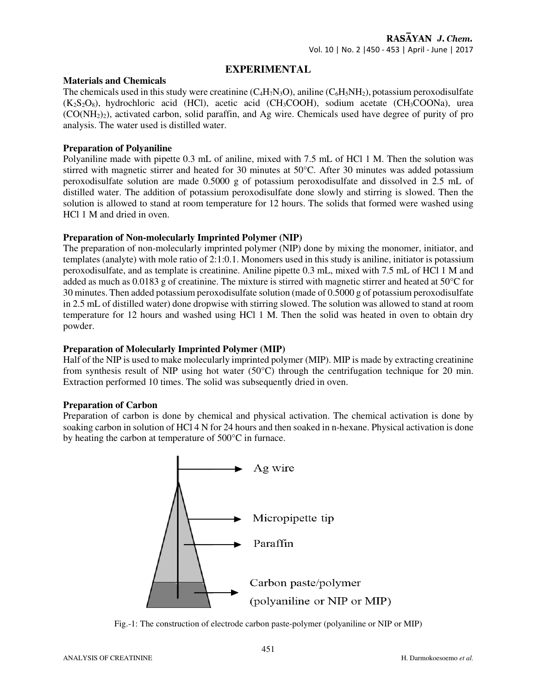## **EXPERIMENTAL**

#### **Materials and Chemicals**

The chemicals used in this study were creatinine  $(C_4H_7N_3O)$ , aniline  $(C_6H_5NH_2)$ , potassium peroxodisulfate  $(K_2S_2O_8)$ , hydrochloric acid (HCl), acetic acid (CH<sub>3</sub>COOH), sodium acetate (CH<sub>3</sub>COONa), urea  $(CO(NH<sub>2</sub>)<sub>2</sub>)$ , activated carbon, solid paraffin, and Ag wire. Chemicals used have degree of purity of pro analysis. The water used is distilled water.

#### **Preparation of Polyaniline**

Polyaniline made with pipette 0.3 mL of aniline, mixed with 7.5 mL of HCl 1 M. Then the solution was stirred with magnetic stirrer and heated for 30 minutes at 50°C. After 30 minutes was added potassium peroxodisulfate solution are made 0.5000 g of potassium peroxodisulfate and dissolved in 2.5 mL of distilled water. The addition of potassium peroxodisulfate done slowly and stirring is slowed. Then the solution is allowed to stand at room temperature for 12 hours. The solids that formed were washed using HCl 1 M and dried in oven.

## **Preparation of Non-molecularly Imprinted Polymer (NIP)**

The preparation of non-molecularly imprinted polymer (NIP) done by mixing the monomer, initiator, and templates (analyte) with mole ratio of 2:1:0.1. Monomers used in this study is aniline, initiator is potassium peroxodisulfate, and as template is creatinine. Aniline pipette 0.3 mL, mixed with 7.5 mL of HCl 1 M and added as much as 0.0183 g of creatinine. The mixture is stirred with magnetic stirrer and heated at 50°C for 30 minutes. Then added potassium peroxodisulfate solution (made of 0.5000 g of potassium peroxodisulfate in 2.5 mL of distilled water) done dropwise with stirring slowed. The solution was allowed to stand at room temperature for 12 hours and washed using HCl 1 M. Then the solid was heated in oven to obtain dry powder.

## **Preparation of Molecularly Imprinted Polymer (MIP)**

Half of the NIP is used to make molecularly imprinted polymer (MIP). MIP is made by extracting creatinine from synthesis result of NIP using hot water (50°C) through the centrifugation technique for 20 min. Extraction performed 10 times. The solid was subsequently dried in oven.

## **Preparation of Carbon**

Preparation of carbon is done by chemical and physical activation. The chemical activation is done by soaking carbon in solution of HCl 4 N for 24 hours and then soaked in n-hexane. Physical activation is done by heating the carbon at temperature of 500°C in furnace.



Fig.-1: The construction of electrode carbon paste-polymer (polyaniline or NIP or MIP)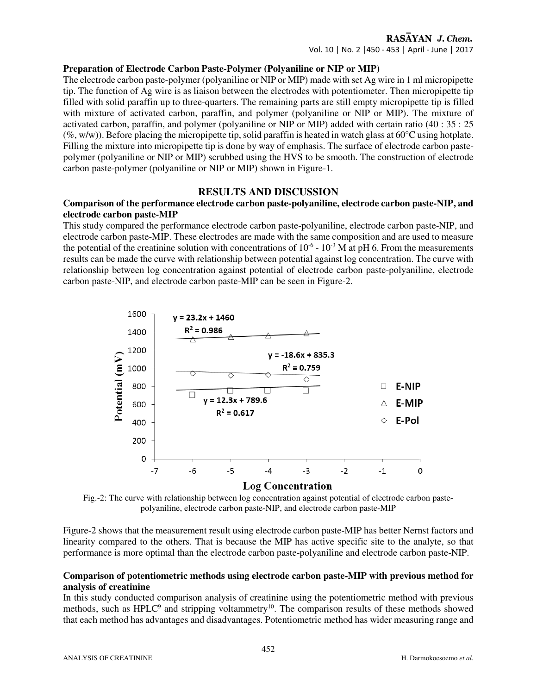#### RASAYAN J. Chem.

Vol. 10 | No. 2 |450 - 453 | April - June | 2017

#### **Preparation of Electrode Carbon Paste-Polymer (Polyaniline or NIP or MIP)**

The electrode carbon paste-polymer (polyaniline or NIP or MIP) made with set Ag wire in 1 ml micropipette tip. The function of Ag wire is as liaison between the electrodes with potentiometer. Then micropipette tip filled with solid paraffin up to three-quarters. The remaining parts are still empty micropipette tip is filled with mixture of activated carbon, paraffin, and polymer (polyaniline or NIP or MIP). The mixture of activated carbon, paraffin, and polymer (polyaniline or NIP or MIP) added with certain ratio (40 : 35 : 25  $(\%, w/w)$ ). Before placing the micropipette tip, solid paraffin is heated in watch glass at 60 $^{\circ}$ C using hotplate. Filling the mixture into micropipette tip is done by way of emphasis. The surface of electrode carbon pastepolymer (polyaniline or NIP or MIP) scrubbed using the HVS to be smooth. The construction of electrode carbon paste-polymer (polyaniline or NIP or MIP) shown in Figure-1.

#### **RESULTS AND DISCUSSION**

#### **Comparison of the performance electrode carbon paste-polyaniline, electrode carbon paste-NIP, and electrode carbon paste-MIP**

This study compared the performance electrode carbon paste-polyaniline, electrode carbon paste-NIP, and electrode carbon paste-MIP. These electrodes are made with the same composition and are used to measure the potential of the creatinine solution with concentrations of  $10^{-6}$  -  $10^{-3}$  M at pH 6. From the measurements results can be made the curve with relationship between potential against log concentration. The curve with relationship between log concentration against potential of electrode carbon paste-polyaniline, electrode carbon paste-NIP, and electrode carbon paste-MIP can be seen in Figure-2.



Fig.-2: The curve with relationship between log concentration against potential of electrode carbon pastepolyaniline, electrode carbon paste-NIP, and electrode carbon paste-MIP

Figure-2 shows that the measurement result using electrode carbon paste-MIP has better Nernst factors and linearity compared to the others. That is because the MIP has active specific site to the analyte, so that performance is more optimal than the electrode carbon paste-polyaniline and electrode carbon paste-NIP.

## **Comparison of potentiometric methods using electrode carbon paste-MIP with previous method for analysis of creatinine**

In this study conducted comparison analysis of creatinine using the potentiometric method with previous methods, such as HPLC<sup>9</sup> and stripping voltammetry<sup>10</sup>. The comparison results of these methods showed that each method has advantages and disadvantages. Potentiometric method has wider measuring range and